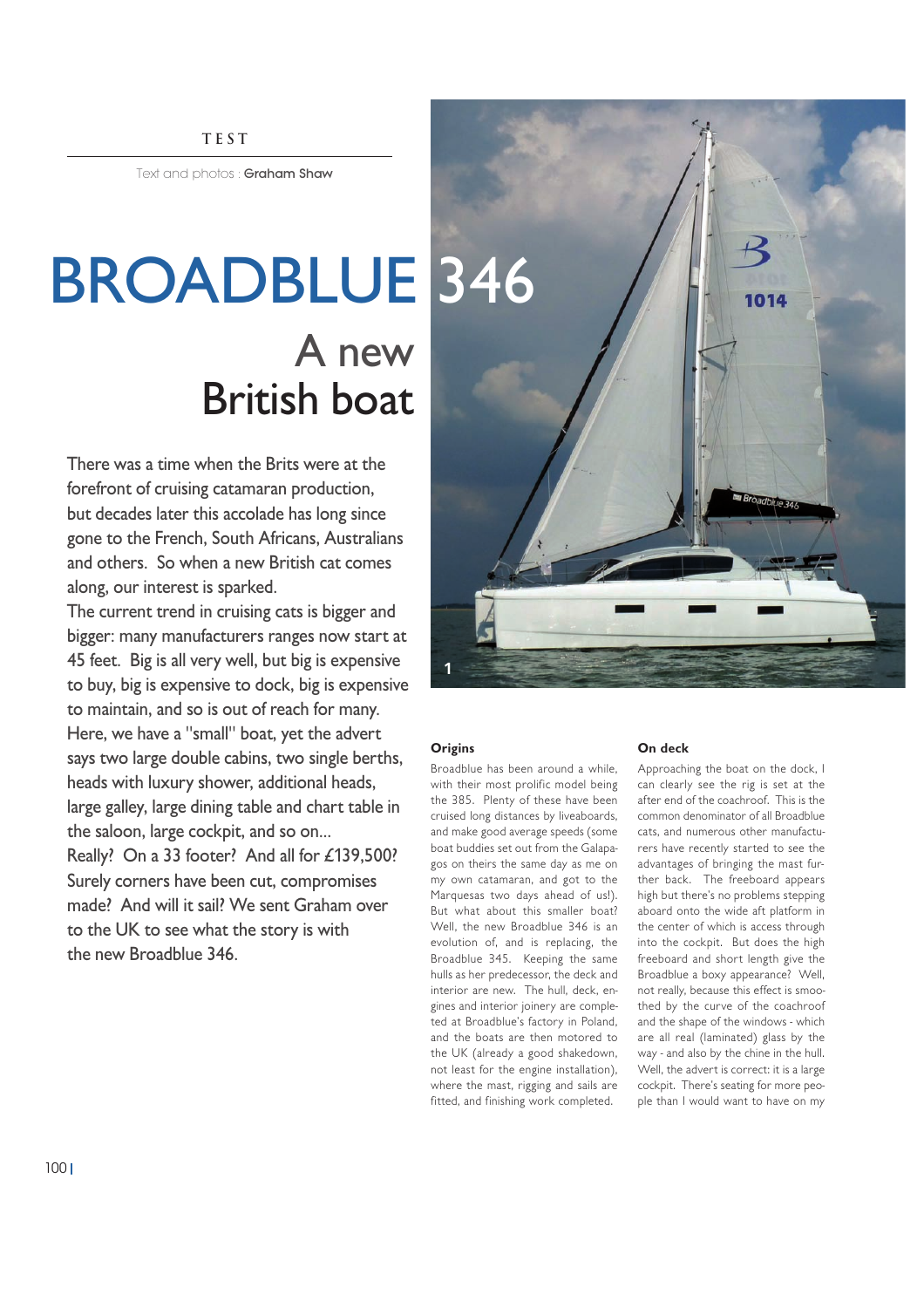#### **TEST**

Text and photos: Graham Shaw

# BROADBLUE 346 A new British boat

There was a time when the Brits were at the forefront of cruising catamaran production, but decades later this accolade has long since gone to the French, South Africans, Australians and others. So when a new British cat comes along, our interest is sparked.

The current trend in cruising cats is bigger and bigger: many manufacturers ranges now start at 45 feet. Big is all very well, but big is expensive to buy, big is expensive to dock, big is expensive to maintain, and so is out of reach for many. Here, we have a "small" boat, yet the advert says two large double cabins, two single berths, heads with luxury shower, additional heads, large galley, large dining table and chart table in the saloon, large cockpit, and so on... Really? On a 33 footer? And all for £139,500? Surely corners have been cut, compromises made? And will it sail? We sent Graham over to the UK to see what the story is with the new Broadblue 346.



#### **Origins**

Broadblue has been around a while, with their most prolific model being the 385. Plenty of these have been cruised long distances by liveaboards, and make good average speeds (some boat buddies set out from the Galapagos on theirs the same day as me on my own catamaran, and got to the Marquesas two days ahead of us!). But what about this smaller boat? Well, the new Broadblue 346 is an evolution of, and is replacing, the Broadblue 345. Keeping the same hulls as her predecessor, the deck and interior are new. The hull, deck, engines and interior joinery are completed at Broadblue's factory in Poland, and the boats are then motored to the UK (already a good shakedown, not least for the engine installation), where the mast, rigging and sails are fitted, and finishing work completed.

#### **On deck**

Approaching the boat on the dock, I can clearly see the rig is set at the after end of the coachroof. This is the common denominator of all Broadblue cats, and numerous other manufacturers have recently started to see the advantages of bringing the mast further back. The freeboard appears high but there's no problems stepping aboard onto the wide aft platform in the center of which is access through into the cockpit. But does the high freeboard and short length give the Broadblue a boxy appearance? Well, not really, because this effect is smoothed by the curve of the coachroof and the shape of the windows - which are all real (laminated) glass by the way - and also by the chine in the hull. Well, the advert is correct: it is a large cockpit. There's seating for more people than I would want to have on my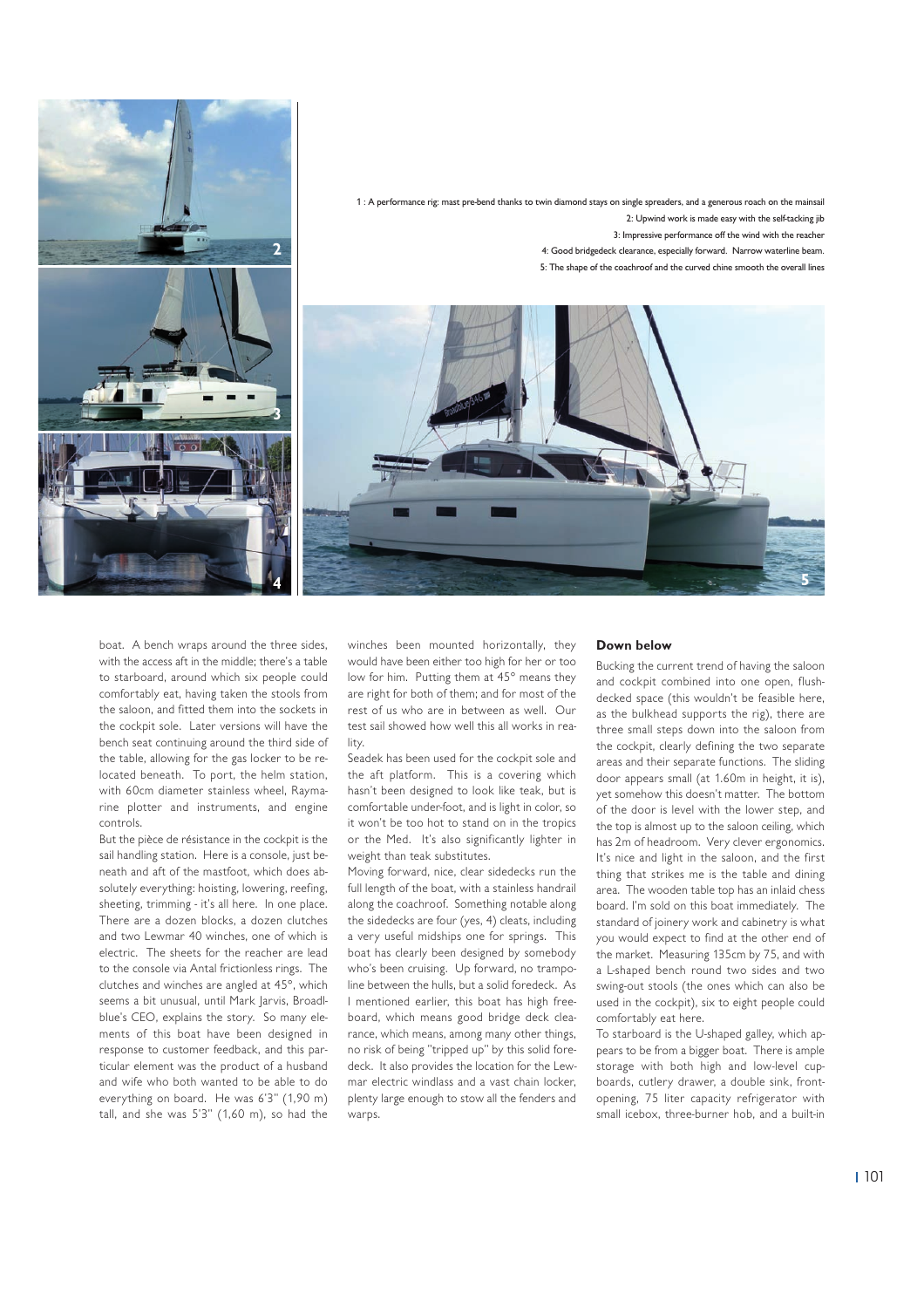

boat. A bench wraps around the three sides, with the access aft in the middle; there's a table to starboard, around which six people could comfortably eat, having taken the stools from the saloon, and fitted them into the sockets in the cockpit sole. Later versions will have the bench seat continuing around the third side of the table, allowing for the gas locker to be relocated beneath. To port, the helm station, with 60cm diameter stainless wheel, Raymarine plotter and instruments, and engine controls.

But the pièce de résistance in the cockpit is the sail handling station. Here is a console, just beneath and aft of the mastfoot, which does absolutely everything: hoisting, lowering, reefing, sheeting, trimming - it's all here. In one place. There are a dozen blocks, a dozen clutches and two Lewmar 40 winches, one of which is electric. The sheets for the reacher are lead to the console via Antal frictionless rings. The clutches and winches are angled at 45°, which seems a bit unusual, until Mark Jarvis, Broadlblue's CEO, explains the story. So many elements of this boat have been designed in response to customer feedback, and this particular element was the product of a husband and wife who both wanted to be able to do everything on board. He was 6'3" (1,90 m) tall, and she was 5'3" (1,60 m), so had the

winches been mounted horizontally, they would have been either too high for her or too low for him. Putting them at 45° means they are right for both of them; and for most of the rest of us who are in between as well. Our test sail showed how well this all works in reality.

Seadek has been used for the cockpit sole and the aft platform. This is a covering which hasn't been designed to look like teak, but is comfortable under-foot, and is light in color, so it won't be too hot to stand on in the tropics or the Med. It's also significantly lighter in weight than teak substitutes.

Moving forward, nice, clear sidedecks run the full length of the boat, with a stainless handrail along the coachroof. Something notable along the sidedecks are four (yes, 4) cleats, including a very useful midships one for springs. This boat has clearly been designed by somebody who's been cruising. Up forward, no trampoline between the hulls, but a solid foredeck. As I mentioned earlier, this boat has high freeboard, which means good bridge deck clearance, which means, among many other things, no risk of being "tripped up" by this solid foredeck. It also provides the location for the Lewmar electric windlass and a vast chain locker, plenty large enough to stow all the fenders and warps.

#### **Down below**

Bucking the current trend of having the saloon and cockpit combined into one open, flushdecked space (this wouldn't be feasible here, as the bulkhead supports the rig), there are three small steps down into the saloon from the cockpit, clearly defining the two separate areas and their separate functions. The sliding door appears small (at 1.60m in height, it is), yet somehow this doesn't matter. The bottom of the door is level with the lower step, and the top is almost up to the saloon ceiling, which has 2m of headroom. Very clever ergonomics. It's nice and light in the saloon, and the first thing that strikes me is the table and dining area. The wooden table top has an inlaid chess board. I'm sold on this boat immediately. The standard of joinery work and cabinetry is what you would expect to find at the other end of the market. Measuring 135cm by 75, and with a L-shaped bench round two sides and two swing-out stools (the ones which can also be used in the cockpit), six to eight people could comfortably eat here.

To starboard is the U-shaped galley, which appears to be from a bigger boat. There is ample storage with both high and low-level cupboards, cutlery drawer, a double sink, frontopening, 75 liter capacity refrigerator with small icebox, three-burner hob, and a built-in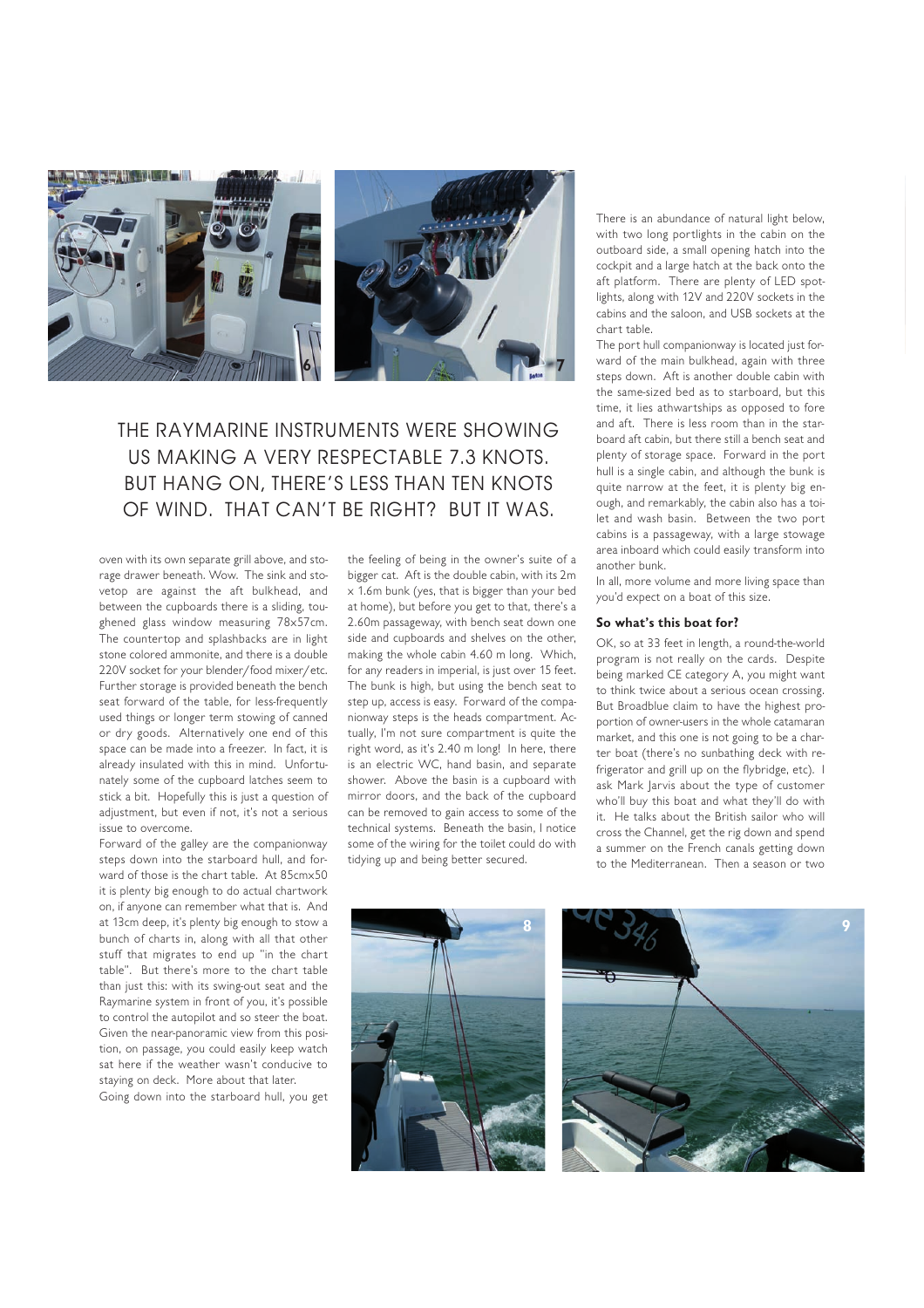

## THE RAYMARINE INSTRUMENTS WERE SHOWING US MAKING A VERY RESPECTABLE 7.3 KNOTS. BUT HANG ON, THERE'S LESS THAN TEN KNOTS OF WIND. THAT CAN'T BE RIGHT? BUT IT WAS.

oven with its own separate grill above, and storage drawer beneath. Wow. The sink and stovetop are against the aft bulkhead, and between the cupboards there is a sliding, toughened glass window measuring 78x57cm. The countertop and splashbacks are in light stone colored ammonite, and there is a double 220V socket for your blender/food mixer/etc. Further storage is provided beneath the bench seat forward of the table, for less-frequently used things or longer term stowing of canned or dry goods. Alternatively one end of this space can be made into a freezer. In fact, it is already insulated with this in mind. Unfortunately some of the cupboard latches seem to stick a bit. Hopefully this is just a question of adjustment, but even if not, it's not a serious issue to overcome.

Forward of the galley are the companionway steps down into the starboard hull, and forward of those is the chart table. At 85cmx50 it is plenty big enough to do actual chartwork on, if anyone can remember what that is. And at 13cm deep, it's plenty big enough to stow a bunch of charts in, along with all that other stuff that migrates to end up "in the chart table". But there's more to the chart table than just this: with its swing-out seat and the Raymarine system in front of you, it's possible to control the autopilot and so steer the boat. Given the near-panoramic view from this position, on passage, you could easily keep watch sat here if the weather wasn't conducive to staying on deck. More about that later.

Going down into the starboard hull, you get

the feeling of being in the owner's suite of a bigger cat. Aft is the double cabin, with its 2m x 1.6m bunk (yes, that is bigger than your bed at home), but before you get to that, there's a 2.60m passageway, with bench seat down one side and cupboards and shelves on the other, making the whole cabin 4.60 m long. Which, for any readers in imperial, is just over 15 feet. The bunk is high, but using the bench seat to step up, access is easy. Forward of the companionway steps is the heads compartment. Actually, I'm not sure compartment is quite the right word, as it's 2.40 m long! In here, there is an electric WC, hand basin, and separate shower. Above the basin is a cupboard with mirror doors, and the back of the cupboard can be removed to gain access to some of the technical systems. Beneath the basin, I notice some of the wiring for the toilet could do with tidying up and being better secured.

There is an abundance of natural light below, with two long portlights in the cabin on the outboard side, a small opening hatch into the cockpit and a large hatch at the back onto the aft platform. There are plenty of LED spotlights, along with 12V and 220V sockets in the cabins and the saloon, and USB sockets at the chart table.

The port hull companionway is located just forward of the main bulkhead, again with three steps down. Aft is another double cabin with the same-sized bed as to starboard, but this time, it lies athwartships as opposed to fore and aft. There is less room than in the starboard aft cabin, but there still a bench seat and plenty of storage space. Forward in the port hull is a single cabin, and although the bunk is quite narrow at the feet, it is plenty big enough, and remarkably, the cabin also has a toilet and wash basin. Between the two port cabins is a passageway, with a large stowage area inboard which could easily transform into another bunk.

In all, more volume and more living space than you'd expect on a boat of this size.

#### **So what's this boat for?**

OK, so at 33 feet in length, a round-the-world program is not really on the cards. Despite being marked CE category A, you might want to think twice about a serious ocean crossing. But Broadblue claim to have the highest proportion of owner-users in the whole catamaran market, and this one is not going to be a charter boat (there's no sunbathing deck with refrigerator and grill up on the flybridge, etc). I ask Mark Jarvis about the type of customer who'll buy this boat and what they'll do with it. He talks about the British sailor who will cross the Channel, get the rig down and spend a summer on the French canals getting down to the Mediterranean. Then a season or two



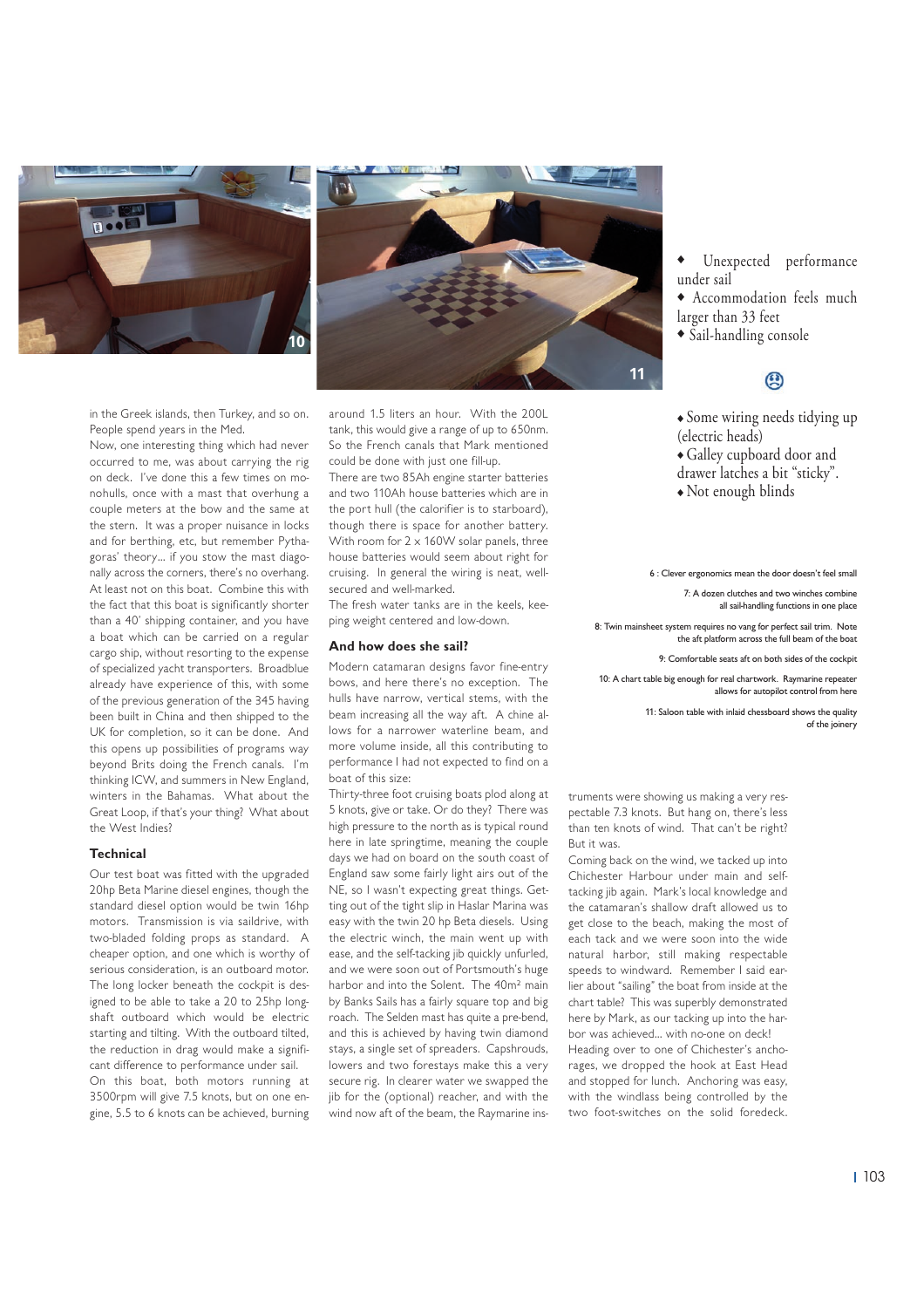



in the Greek islands, then Turkey, and so on. People spend years in the Med.

Now, one interesting thing which had never occurred to me, was about carrying the rig on deck. I've done this a few times on monohulls, once with a mast that overhung a couple meters at the bow and the same at the stern. It was a proper nuisance in locks and for berthing, etc, but remember Pythagoras' theory… if you stow the mast diagonally across the corners, there's no overhang. At least not on this boat. Combine this with the fact that this boat is significantly shorter than a 40' shipping container, and you have a boat which can be carried on a regular cargo ship, without resorting to the expense of specialized yacht transporters. Broadblue already have experience of this, with some of the previous generation of the 345 having been built in China and then shipped to the UK for completion, so it can be done. And this opens up possibilities of programs way beyond Brits doing the French canals. I'm thinking ICW, and summers in New England, winters in the Bahamas. What about the Great Loop, if that's your thing? What about the West Indies?

#### **Technical**

Our test boat was fitted with the upgraded 20hp Beta Marine diesel engines, though the standard diesel option would be twin 16hp motors. Transmission is via saildrive, with two-bladed folding props as standard. A cheaper option, and one which is worthy of serious consideration, is an outboard motor. The long locker beneath the cockpit is designed to be able to take a 20 to 25hp longshaft outboard which would be electric starting and tilting. With the outboard tilted, the reduction in drag would make a significant difference to performance under sail. On this boat, both motors running at 3500rpm will give 7.5 knots, but on one engine, 5.5 to 6 knots can be achieved, burning around 1.5 liters an hour. With the 200L tank, this would give a range of up to 650nm. So the French canals that Mark mentioned could be done with just one fill-up.

There are two 85Ah engine starter batteries and two 110Ah house batteries which are in the port hull (the calorifier is to starboard), though there is space for another battery. With room for  $2 \times 160$ W solar panels, three house batteries would seem about right for cruising. In general the wiring is neat, wellsecured and well-marked.

The fresh water tanks are in the keels, keeping weight centered and low-down.

#### **And how does she sail?**

Modern catamaran designs favor fine-entry bows, and here there's no exception. The hulls have narrow, vertical stems, with the beam increasing all the way aft. A chine allows for a narrower waterline beam, and more volume inside, all this contributing to performance I had not expected to find on a boat of this size:

Thirty-three foot cruising boats plod along at 5 knots, give or take. Or do they? There was high pressure to the north as is typical round here in late springtime, meaning the couple days we had on board on the south coast of England saw some fairly light airs out of the NE, so I wasn't expecting great things. Getting out of the tight slip in Haslar Marina was easy with the twin 20 hp Beta diesels. Using the electric winch, the main went up with ease, and the self-tacking jib quickly unfurled, and we were soon out of Portsmouth's huge harbor and into the Solent. The 40m<sup>2</sup> main by Banks Sails has a fairly square top and big roach. The Selden mast has quite a pre-bend, and this is achieved by having twin diamond stays, a single set of spreaders. Capshrouds, lowers and two forestays make this a very secure rig. In clearer water we swapped the jib for the (optional) reacher, and with the wind now aft of the beam, the Raymarine ins-

- Unexpected performance under sail
- ◆ Accommodation feels much larger than 33 feet
- ◆ Sail-handling console

### $\circledR$

- ◆ Some wiring needs tidying up (electric heads)
- ◆ Galley cupboard door and
- drawer latches a bit "sticky".
- ◆ Not enough blinds

6 : Clever ergonomics mean the door doesn't feel small

7: A dozen clutches and two winches combine all sail-handling functions in one place

8: Twin mainsheet system requires no vang for perfect sail trim. Note the aft platform across the full beam of the boat

9: Comfortable seats aft on both sides of the cockpit

10: A chart table big enough for real chartwork. Raymarine repeater allows for autopilot control from here

> 11: Saloon table with inlaid chessboard shows the quality of the joinery

truments were showing us making a very respectable 7.3 knots. But hang on, there's less than ten knots of wind. That can't be right? But it was.

Coming back on the wind, we tacked up into Chichester Harbour under main and selftacking jib again. Mark's local knowledge and the catamaran's shallow draft allowed us to get close to the beach, making the most of each tack and we were soon into the wide natural harbor, still making respectable speeds to windward. Remember I said earlier about "sailing" the boat from inside at the chart table? This was superbly demonstrated here by Mark, as our tacking up into the harbor was achieved… with no-one on deck!

Heading over to one of Chichester's anchorages, we dropped the hook at East Head and stopped for lunch. Anchoring was easy, with the windlass being controlled by the two foot-switches on the solid foredeck.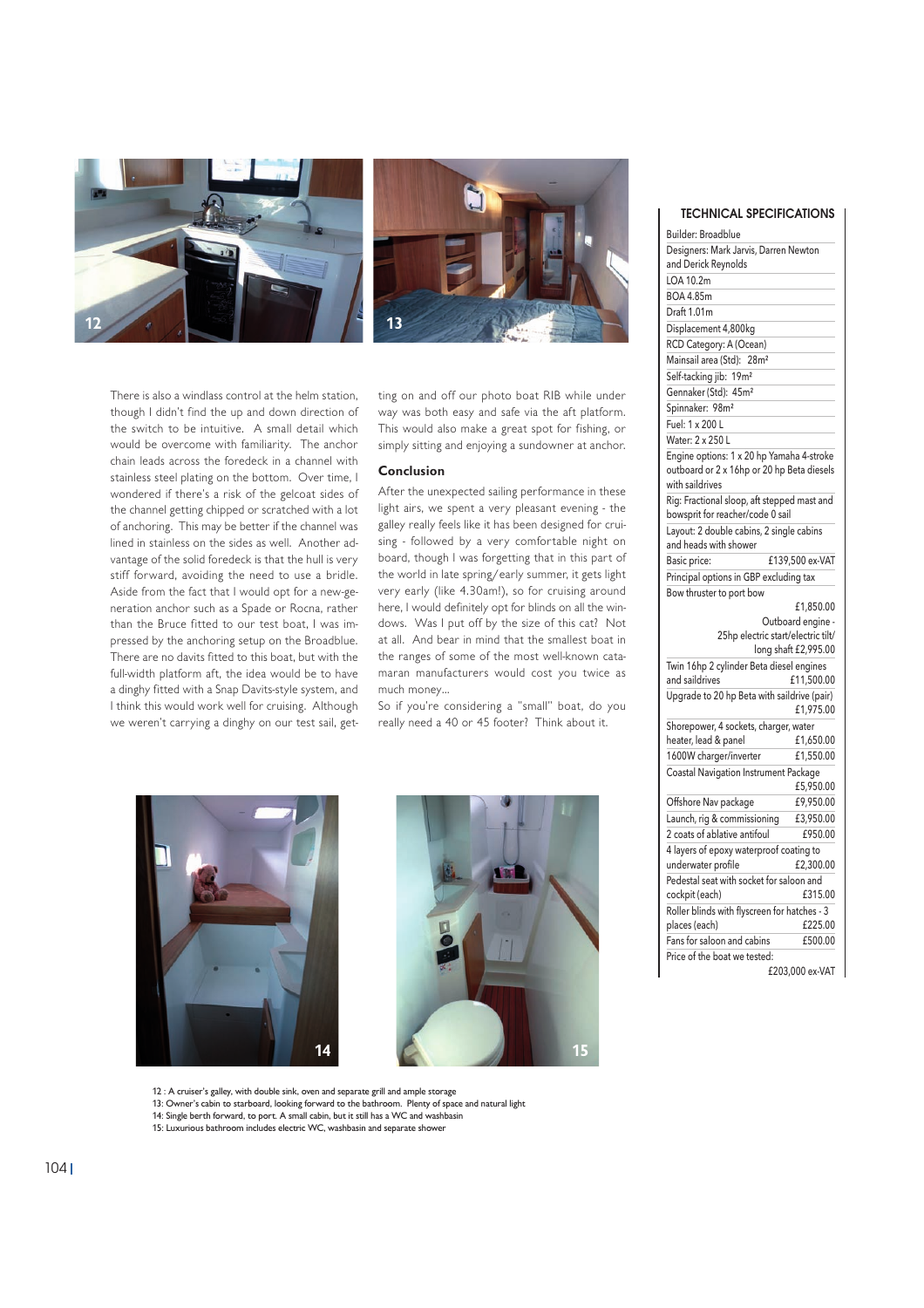

There is also a windlass control at the helm station, though I didn't find the up and down direction of the switch to be intuitive. A small detail which would be overcome with familiarity. The anchor chain leads across the foredeck in a channel with stainless steel plating on the bottom. Over time, I wondered if there's a risk of the gelcoat sides of the channel getting chipped or scratched with a lot of anchoring. This may be better if the channel was lined in stainless on the sides as well. Another advantage of the solid foredeck is that the hull is very stiff forward, avoiding the need to use a bridle. Aside from the fact that I would opt for a new-generation anchor such as a Spade or Rocna, rather than the Bruce fitted to our test boat, I was impressed by the anchoring setup on the Broadblue. There are no davits fitted to this boat, but with the full-width platform aft, the idea would be to have a dinghy fitted with a Snap Davits-style system, and I think this would work well for cruising. Although we weren't carrying a dinghy on our test sail, getting on and off our photo boat RIB while under way was both easy and safe via the aft platform. This would also make a great spot for fishing, or simply sitting and enjoying a sundowner at anchor.

#### **Conclusion**

After the unexpected sailing performance in these light airs, we spent a very pleasant evening - the galley really feels like it has been designed for cruising - followed by a very comfortable night on board, though I was forgetting that in this part of the world in late spring/early summer, it gets light very early (like 4.30am!), so for cruising around here, I would definitely opt for blinds on all the windows. Was I put off by the size of this cat? Not at all. And bear in mind that the smallest boat in the ranges of some of the most well-known catamaran manufacturers would cost you twice as much money…

So if you're considering a "small" boat, do you really need a 40 or 45 footer? Think about it.





TECHNICAL SPECIFICATIONS

| Builder: Broadblue                                            |                      |
|---------------------------------------------------------------|----------------------|
| Designers: Mark Jarvis, Darren Newton                         |                      |
| and Derick Reynolds                                           |                      |
| LOA 10.2m                                                     |                      |
| BOA 4.85m                                                     |                      |
| Draft 1.01m                                                   |                      |
| Displacement 4,800kg                                          |                      |
| RCD Category: A (Ocean)                                       |                      |
| Mainsail area (Std): 28m <sup>2</sup>                         |                      |
| Self-tacking jib: 19m <sup>2</sup>                            |                      |
| Gennaker (Std): 45m <sup>2</sup>                              |                      |
| Spinnaker: 98m <sup>2</sup>                                   |                      |
| Fuel: 1 x 200 L                                               |                      |
| Water: 2 x 250 L                                              |                      |
| Engine options: 1 x 20 hp Yamaha 4-stroke                     |                      |
| outboard or 2 x 16hp or 20 hp Beta diesels                    |                      |
| with saildrives                                               |                      |
| Rig: Fractional sloop, aft stepped mast and                   |                      |
| bowsprit for reacher/code 0 sail                              |                      |
| Layout: 2 double cabins, 2 single cabins                      |                      |
| and heads with shower                                         |                      |
| Basic price:                                                  | £139,500 ex-VAT      |
| Principal options in GBP excluding tax                        |                      |
| Bow thruster to port bow                                      |                      |
|                                                               | £1,850.00            |
|                                                               |                      |
|                                                               | Outboard engine -    |
| 25hp electric start/electric tilt/                            |                      |
|                                                               | long shaft £2,995.00 |
| Twin 16hp 2 cylinder Beta diesel engines<br>and saildrives    |                      |
|                                                               | £11,500.00           |
| Upgrade to 20 hp Beta with saildrive (pair)                   | £1,975.00            |
|                                                               |                      |
| Shorepower, 4 sockets, charger, water<br>heater, lead & panel | £1,650.00            |
| 1600W charger/inverter                                        | £1,550.00            |
| Coastal Navigation Instrument Package                         |                      |
|                                                               | £5,950.00            |
| Offshore Nav package                                          | £9,950.00            |
| Launch, rig & commissioning                                   | £3,950.00            |
| 2 coats of ablative antifoul                                  | £950.00              |
| 4 layers of epoxy waterproof coating to                       |                      |
| underwater profile                                            | £2,300.00            |
| Pedestal seat with socket for saloon and                      |                      |
| cockpit (each)                                                | £315.00              |
| Roller blinds with flyscreen for hatches - 3                  |                      |
| places (each)                                                 | £225.00              |
| Fans for saloon and cabins                                    | £500.00              |
| Price of the boat we tested:                                  | £203,000 ex-VAT      |

12 : A cruiser's galley, with double sink, oven and separate grill and ample storage

13: Owner's cabin to starboard, looking forward to the bathroom. Plenty of space and natural light

14: Single berth forward, to port. A small cabin, but it still has a WC and washbasin 15: Luxurious bathroom includes electric WC, washbasin and separate shower